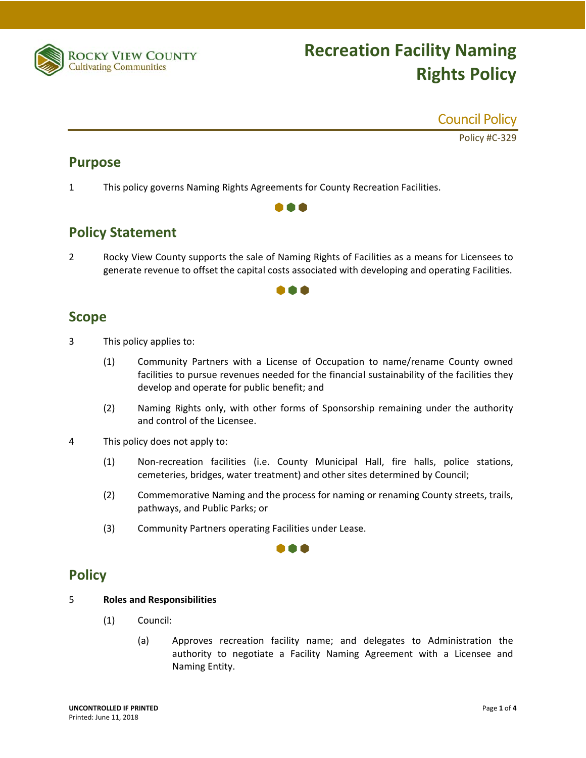

# **Recreation Facility Naming Rights Policy**

### Council Policy

Policy #C‐329

## **Purpose**

1 This policy governs Naming Rights Agreements for County Recreation Facilities.

# **Policy Statement**

2 Rocky View County supports the sale of Naming Rights of Facilities as a means for Licensees to generate revenue to offset the capital costs associated with developing and operating Facilities.

8 A A

### 188

### **Scope**

- 3 This policy applies to:
	- (1) Community Partners with a License of Occupation to name/rename County owned facilities to pursue revenues needed for the financial sustainability of the facilities they develop and operate for public benefit; and
	- (2) Naming Rights only, with other forms of Sponsorship remaining under the authority and control of the Licensee.
- 4 This policy does not apply to:
	- (1) Non‐recreation facilities (i.e. County Municipal Hall, fire halls, police stations, cemeteries, bridges, water treatment) and other sites determined by Council;
	- (2) Commemorative Naming and the process for naming or renaming County streets, trails, pathways, and Public Parks; or

000

(3) Community Partners operating Facilities under Lease.

# **Policy**

#### 5 **Roles and Responsibilities**

- (1) Council:
	- (a) Approves recreation facility name; and delegates to Administration the authority to negotiate a Facility Naming Agreement with a Licensee and Naming Entity.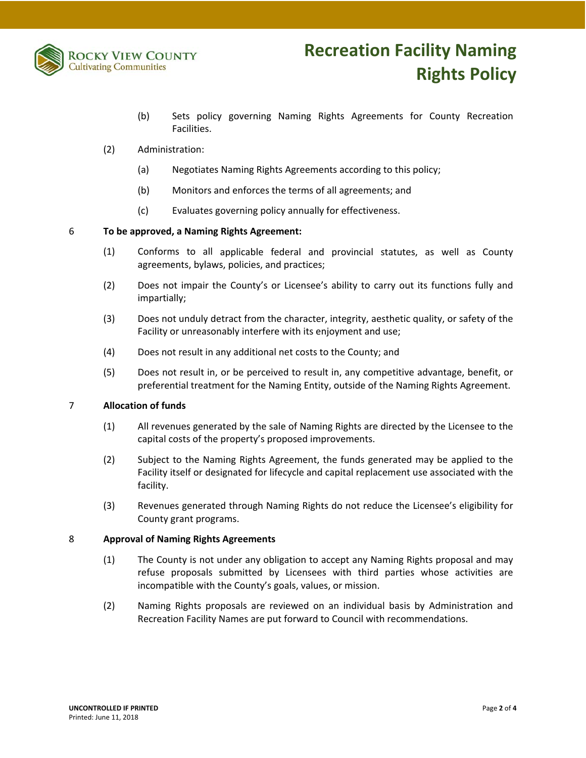

- (b) Sets policy governing Naming Rights Agreements for County Recreation Facilities.
- (2) Administration:
	- (a) Negotiates Naming Rights Agreements according to this policy;
	- (b) Monitors and enforces the terms of all agreements; and
	- (c) Evaluates governing policy annually for effectiveness.

#### 6 **To be approved, a Naming Rights Agreement:**

- (1) Conforms to all applicable federal and provincial statutes, as well as County agreements, bylaws, policies, and practices;
- (2) Does not impair the County's or Licensee's ability to carry out its functions fully and impartially;
- (3) Does not unduly detract from the character, integrity, aesthetic quality, or safety of the Facility or unreasonably interfere with its enjoyment and use;
- (4) Does not result in any additional net costs to the County; and
- (5) Does not result in, or be perceived to result in, any competitive advantage, benefit, or preferential treatment for the Naming Entity, outside of the Naming Rights Agreement.

#### 7 **Allocation of funds**

- (1) All revenues generated by the sale of Naming Rights are directed by the Licensee to the capital costs of the property's proposed improvements.
- (2) Subject to the Naming Rights Agreement, the funds generated may be applied to the Facility itself or designated for lifecycle and capital replacement use associated with the facility.
- (3) Revenues generated through Naming Rights do not reduce the Licensee's eligibility for County grant programs.

#### 8 **Approval of Naming Rights Agreements**

- (1) The County is not under any obligation to accept any Naming Rights proposal and may refuse proposals submitted by Licensees with third parties whose activities are incompatible with the County's goals, values, or mission.
- (2) Naming Rights proposals are reviewed on an individual basis by Administration and Recreation Facility Names are put forward to Council with recommendations.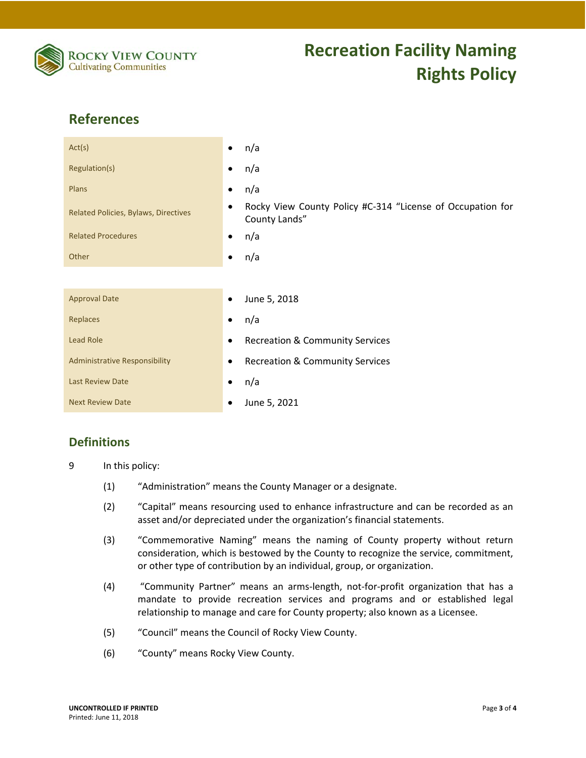

# **References**

| Act(s)                               | n/a<br>$\bullet$                                                                 |
|--------------------------------------|----------------------------------------------------------------------------------|
| Regulation(s)                        | n/a<br>٠                                                                         |
| Plans                                | n/a<br>٠                                                                         |
| Related Policies, Bylaws, Directives | Rocky View County Policy #C-314 "License of Occupation for<br>٠<br>County Lands" |
| <b>Related Procedures</b>            | n/a<br>$\bullet$                                                                 |
| Other                                | n/a<br>٠                                                                         |
|                                      |                                                                                  |
| <b>Approval Date</b>                 | June 5, 2018<br>٠                                                                |
| Replaces                             | n/a<br>٠                                                                         |
| Lead Role                            | <b>Recreation &amp; Community Services</b>                                       |
| <b>Administrative Responsibility</b> | <b>Recreation &amp; Community Services</b><br>٠                                  |
| <b>Last Review Date</b>              | n/a<br>٠                                                                         |
| <b>Next Review Date</b>              | June 5, 2021<br>٠                                                                |

### **Definitions**

9 In this policy:

- (1) "Administration" means the County Manager or a designate.
- (2) "Capital" means resourcing used to enhance infrastructure and can be recorded as an asset and/or depreciated under the organization's financial statements.
- (3) "Commemorative Naming" means the naming of County property without return consideration, which is bestowed by the County to recognize the service, commitment, or other type of contribution by an individual, group, or organization.
- (4) "Community Partner" means an arms‐length, not‐for‐profit organization that has a mandate to provide recreation services and programs and or established legal relationship to manage and care for County property; also known as a Licensee.
- (5) "Council" means the Council of Rocky View County.
- (6) "County" means Rocky View County.